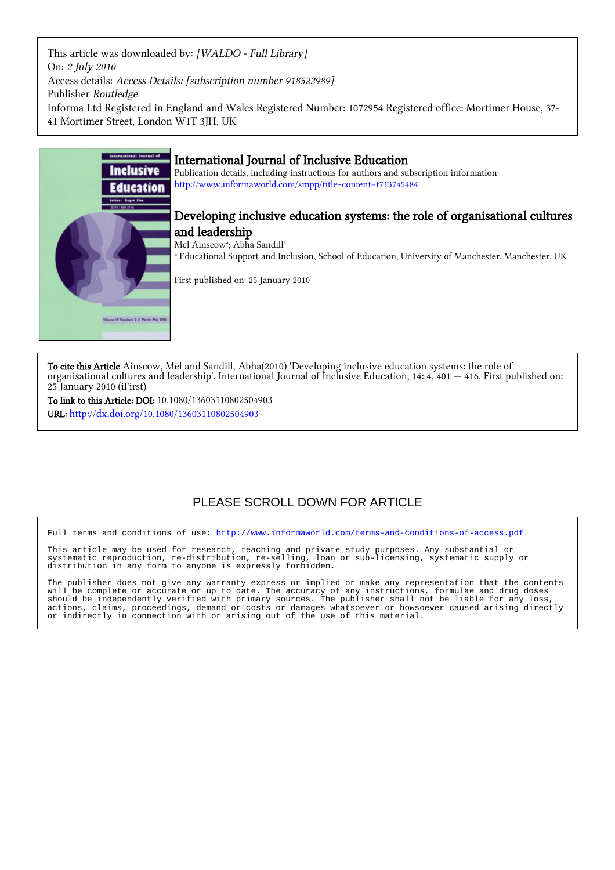This article was downloaded by: [WALDO - Full Library] On: 2 July 2010 Access details: Access Details: [subscription number 918522989] Publisher Routledge Informa Ltd Registered in England and Wales Registered Number: 1072954 Registered office: Mortimer House, 37- 41 Mortimer Street, London W1T 3JH, UK



# International Journal of Inclusive Education

Publication details, including instructions for authors and subscription information: <http://www.informaworld.com/smpp/title~content=t713745484>

# Developing inclusive education systems: the role of organisational cultures and leadership

Mel Ainscow<sup>a</sup>; Abha Sandill<sup>a</sup>

a Educational Support and Inclusion, School of Education, University of Manchester, Manchester, UK

First published on: 25 January 2010

To cite this Article Ainscow, Mel and Sandill, Abha(2010) 'Developing inclusive education systems: the role of organisational cultures and leadership', International Journal of Inclusive Education,  $14: 4$ ,  $401 - 416$ , First published on: 25 January 2010 (iFirst)

To link to this Article: DOI: 10.1080/13603110802504903 URL: <http://dx.doi.org/10.1080/13603110802504903>

# PLEASE SCROLL DOWN FOR ARTICLE

Full terms and conditions of use:<http://www.informaworld.com/terms-and-conditions-of-access.pdf>

This article may be used for research, teaching and private study purposes. Any substantial or systematic reproduction, re-distribution, re-selling, loan or sub-licensing, systematic supply or distribution in any form to anyone is expressly forbidden.

The publisher does not give any warranty express or implied or make any representation that the contents will be complete or accurate or up to date. The accuracy of any instructions, formulae and drug doses should be independently verified with primary sources. The publisher shall not be liable for any loss, actions, claims, proceedings, demand or costs or damages whatsoever or howsoever caused arising directly or indirectly in connection with or arising out of the use of this material.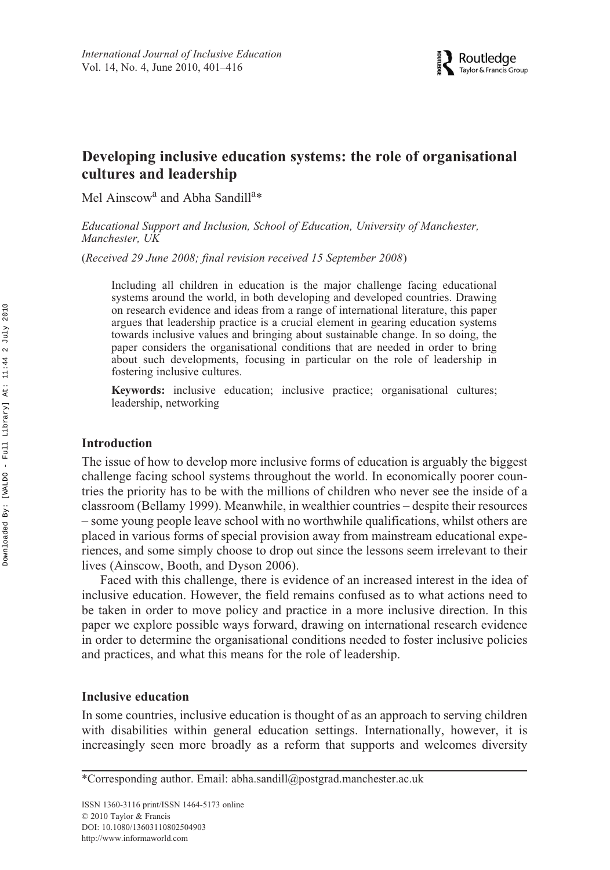# **Developing inclusive education systems: the role of organisational cultures and leadership**

Mel Ainscow<sup>a</sup> and Abha Sandill<sup>a\*</sup>

*Educational Support and Inclusion, School of Education, University of Manchester, Manchester, UK*

(Received 29 June 2008; final revision received 15 September 2008)

Including all children in education is the major challenge facing educational systems around the world, in both developing and developed countries. Drawing on research evidence and ideas from a range of international literature, this paper argues that leadership practice is a crucial element in gearing education systems towards inclusive values and bringing about sustainable change. In so doing, the paper considers the organisational conditions that are needed in order to bring about such developments, focusing in particular on the role of leadership in fostering inclusive cultures.

**Keywords:** inclusive education; inclusive practice; organisational cultures; leadership, networking

## **Introduction**

The issue of how to develop more inclusive forms of education is arguably the biggest challenge facing school systems throughout the world. In economically poorer countries the priority has to be with the millions of children who never see the inside of a classroom (Bellamy 1999). Meanwhile, in wealthier countries – despite their resources – some young people leave school with no worthwhile qualifications, whilst others are placed in various forms of special provision away from mainstream educational experiences, and some simply choose to drop out since the lessons seem irrelevant to their lives (Ainscow, Booth, and Dyson 2006).

Faced with this challenge, there is evidence of an increased interest in the idea of inclusive education. However, the field remains confused as to what actions need to be taken in order to move policy and practice in a more inclusive direction. In this paper we explore possible ways forward, drawing on international research evidence in order to determine the organisational conditions needed to foster inclusive policies and practices, and what this means for the role of leadership.

#### **Inclusive education**

In some countries, inclusive education is thought of as an approach to serving children with disabilities within general education settings. Internationally, however, it is increasingly seen more broadly as a reform that supports and welcomes diversity

<sup>\*</sup>Corresponding author. Email: abha.sandill@postgrad.manchester.ac.uk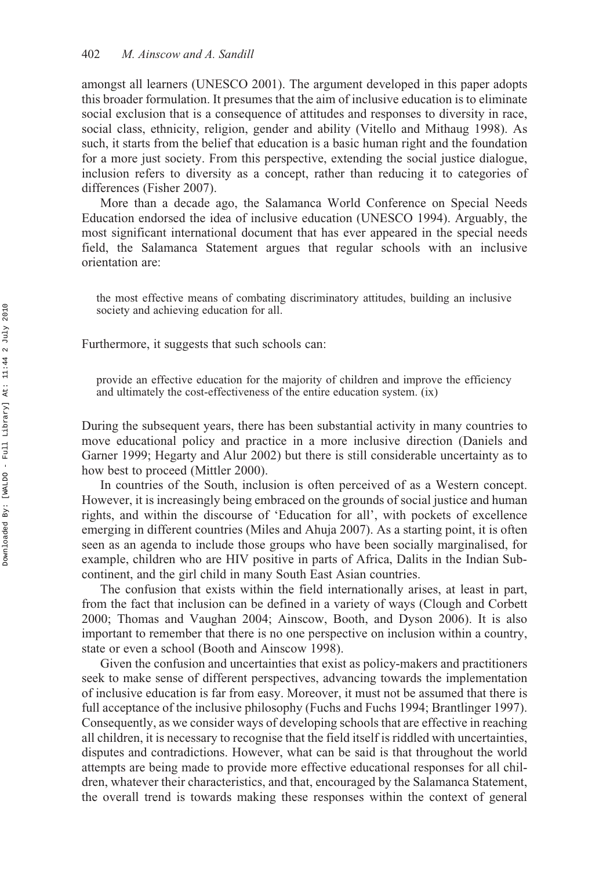amongst all learners (UNESCO 2001). The argument developed in this paper adopts this broader formulation. It presumes that the aim of inclusive education is to eliminate social exclusion that is a consequence of attitudes and responses to diversity in race, social class, ethnicity, religion, gender and ability (Vitello and Mithaug 1998). As such, it starts from the belief that education is a basic human right and the foundation for a more just society. From this perspective, extending the social justice dialogue, inclusion refers to diversity as a concept, rather than reducing it to categories of differences (Fisher 2007).

More than a decade ago, the Salamanca World Conference on Special Needs Education endorsed the idea of inclusive education (UNESCO 1994). Arguably, the most significant international document that has ever appeared in the special needs field, the Salamanca Statement argues that regular schools with an inclusive orientation are:

the most effective means of combating discriminatory attitudes, building an inclusive society and achieving education for all.

Furthermore, it suggests that such schools can:

provide an effective education for the majority of children and improve the efficiency and ultimately the cost-effectiveness of the entire education system. (ix)

During the subsequent years, there has been substantial activity in many countries to move educational policy and practice in a more inclusive direction (Daniels and Garner 1999; Hegarty and Alur 2002) but there is still considerable uncertainty as to how best to proceed (Mittler 2000).

In countries of the South, inclusion is often perceived of as a Western concept. However, it is increasingly being embraced on the grounds of social justice and human rights, and within the discourse of 'Education for all', with pockets of excellence emerging in different countries (Miles and Ahuja 2007). As a starting point, it is often seen as an agenda to include those groups who have been socially marginalised, for example, children who are HIV positive in parts of Africa, Dalits in the Indian Subcontinent, and the girl child in many South East Asian countries.

The confusion that exists within the field internationally arises, at least in part, from the fact that inclusion can be defined in a variety of ways (Clough and Corbett 2000; Thomas and Vaughan 2004; Ainscow, Booth, and Dyson 2006). It is also important to remember that there is no one perspective on inclusion within a country, state or even a school (Booth and Ainscow 1998).

Given the confusion and uncertainties that exist as policy-makers and practitioners seek to make sense of different perspectives, advancing towards the implementation of inclusive education is far from easy. Moreover, it must not be assumed that there is full acceptance of the inclusive philosophy (Fuchs and Fuchs 1994; Brantlinger 1997). Consequently, as we consider ways of developing schools that are effective in reaching all children, it is necessary to recognise that the field itself is riddled with uncertainties, disputes and contradictions. However, what can be said is that throughout the world attempts are being made to provide more effective educational responses for all children, whatever their characteristics, and that, encouraged by the Salamanca Statement, the overall trend is towards making these responses within the context of general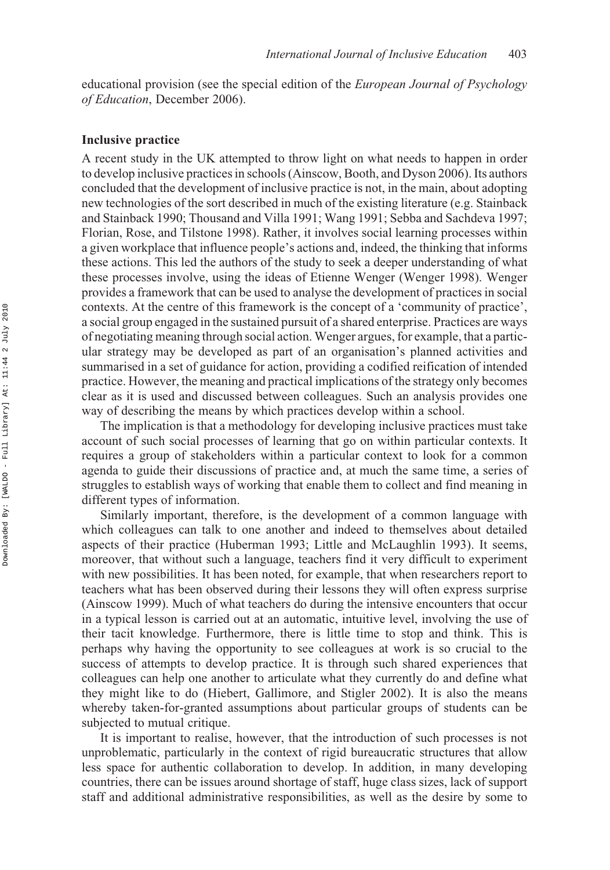educational provision (see the special edition of the *European Journal of Psychology of Education*, December 2006).

#### **Inclusive practice**

A recent study in the UK attempted to throw light on what needs to happen in order to develop inclusive practices in schools (Ainscow, Booth, and Dyson 2006). Its authors concluded that the development of inclusive practice is not, in the main, about adopting new technologies of the sort described in much of the existing literature (e.g. Stainback and Stainback 1990; Thousand and Villa 1991; Wang 1991; Sebba and Sachdeva 1997; Florian, Rose, and Tilstone 1998). Rather, it involves social learning processes within a given workplace that influence people's actions and, indeed, the thinking that informs these actions. This led the authors of the study to seek a deeper understanding of what these processes involve, using the ideas of Etienne Wenger (Wenger 1998). Wenger provides a framework that can be used to analyse the development of practices in social contexts. At the centre of this framework is the concept of a 'community of practice', a social group engaged in the sustained pursuit of a shared enterprise. Practices are ways of negotiating meaning through social action. Wenger argues, for example, that a particular strategy may be developed as part of an organisation's planned activities and summarised in a set of guidance for action, providing a codified reification of intended practice. However, the meaning and practical implications of the strategy only becomes clear as it is used and discussed between colleagues. Such an analysis provides one way of describing the means by which practices develop within a school.

The implication is that a methodology for developing inclusive practices must take account of such social processes of learning that go on within particular contexts. It requires a group of stakeholders within a particular context to look for a common agenda to guide their discussions of practice and, at much the same time, a series of struggles to establish ways of working that enable them to collect and find meaning in different types of information.

Similarly important, therefore, is the development of a common language with which colleagues can talk to one another and indeed to themselves about detailed aspects of their practice (Huberman 1993; Little and McLaughlin 1993). It seems, moreover, that without such a language, teachers find it very difficult to experiment with new possibilities. It has been noted, for example, that when researchers report to teachers what has been observed during their lessons they will often express surprise (Ainscow 1999). Much of what teachers do during the intensive encounters that occur in a typical lesson is carried out at an automatic, intuitive level, involving the use of their tacit knowledge. Furthermore, there is little time to stop and think. This is perhaps why having the opportunity to see colleagues at work is so crucial to the success of attempts to develop practice. It is through such shared experiences that colleagues can help one another to articulate what they currently do and define what they might like to do (Hiebert, Gallimore, and Stigler 2002). It is also the means whereby taken-for-granted assumptions about particular groups of students can be subjected to mutual critique.

It is important to realise, however, that the introduction of such processes is not unproblematic, particularly in the context of rigid bureaucratic structures that allow less space for authentic collaboration to develop. In addition, in many developing countries, there can be issues around shortage of staff, huge class sizes, lack of support staff and additional administrative responsibilities, as well as the desire by some to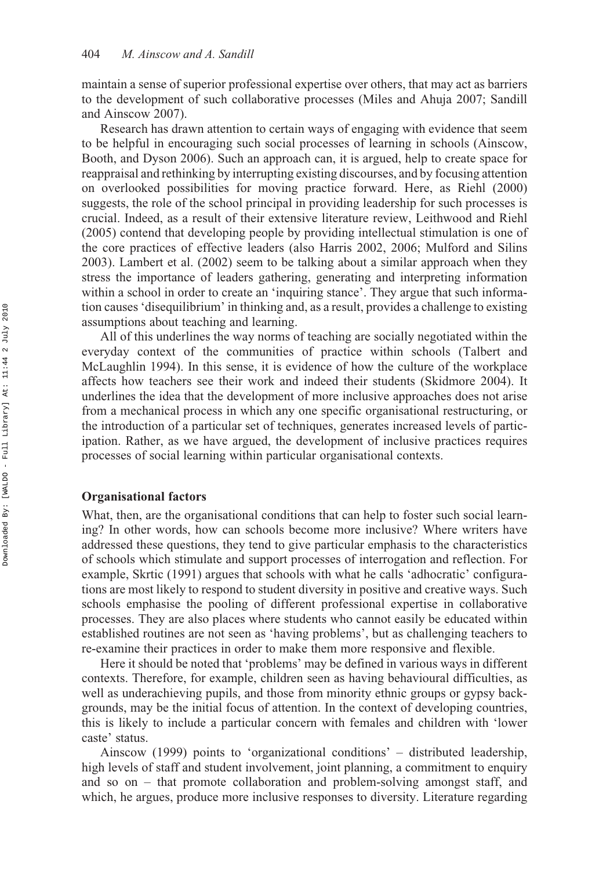maintain a sense of superior professional expertise over others, that may act as barriers to the development of such collaborative processes (Miles and Ahuja 2007; Sandill and Ainscow 2007).

Research has drawn attention to certain ways of engaging with evidence that seem to be helpful in encouraging such social processes of learning in schools (Ainscow, Booth, and Dyson 2006). Such an approach can, it is argued, help to create space for reappraisal and rethinking by interrupting existing discourses, and by focusing attention on overlooked possibilities for moving practice forward. Here, as Riehl (2000) suggests, the role of the school principal in providing leadership for such processes is crucial. Indeed, as a result of their extensive literature review, Leithwood and Riehl (2005) contend that developing people by providing intellectual stimulation is one of the core practices of effective leaders (also Harris 2002, 2006; Mulford and Silins 2003). Lambert et al. (2002) seem to be talking about a similar approach when they stress the importance of leaders gathering, generating and interpreting information within a school in order to create an 'inquiring stance'. They argue that such information causes 'disequilibrium' in thinking and, as a result, provides a challenge to existing assumptions about teaching and learning.

All of this underlines the way norms of teaching are socially negotiated within the everyday context of the communities of practice within schools (Talbert and McLaughlin 1994). In this sense, it is evidence of how the culture of the workplace affects how teachers see their work and indeed their students (Skidmore 2004). It underlines the idea that the development of more inclusive approaches does not arise from a mechanical process in which any one specific organisational restructuring, or the introduction of a particular set of techniques, generates increased levels of participation. Rather, as we have argued, the development of inclusive practices requires processes of social learning within particular organisational contexts.

## **Organisational factors**

What, then, are the organisational conditions that can help to foster such social learning? In other words, how can schools become more inclusive? Where writers have addressed these questions, they tend to give particular emphasis to the characteristics of schools which stimulate and support processes of interrogation and reflection. For example, Skrtic (1991) argues that schools with what he calls 'adhocratic' configurations are most likely to respond to student diversity in positive and creative ways. Such schools emphasise the pooling of different professional expertise in collaborative processes. They are also places where students who cannot easily be educated within established routines are not seen as 'having problems', but as challenging teachers to re-examine their practices in order to make them more responsive and flexible.

Here it should be noted that 'problems' may be defined in various ways in different contexts. Therefore, for example, children seen as having behavioural difficulties, as well as underachieving pupils, and those from minority ethnic groups or gypsy backgrounds, may be the initial focus of attention. In the context of developing countries, this is likely to include a particular concern with females and children with 'lower caste' status.

Ainscow (1999) points to 'organizational conditions' – distributed leadership, high levels of staff and student involvement, joint planning, a commitment to enquiry and so on – that promote collaboration and problem-solving amongst staff, and which, he argues, produce more inclusive responses to diversity. Literature regarding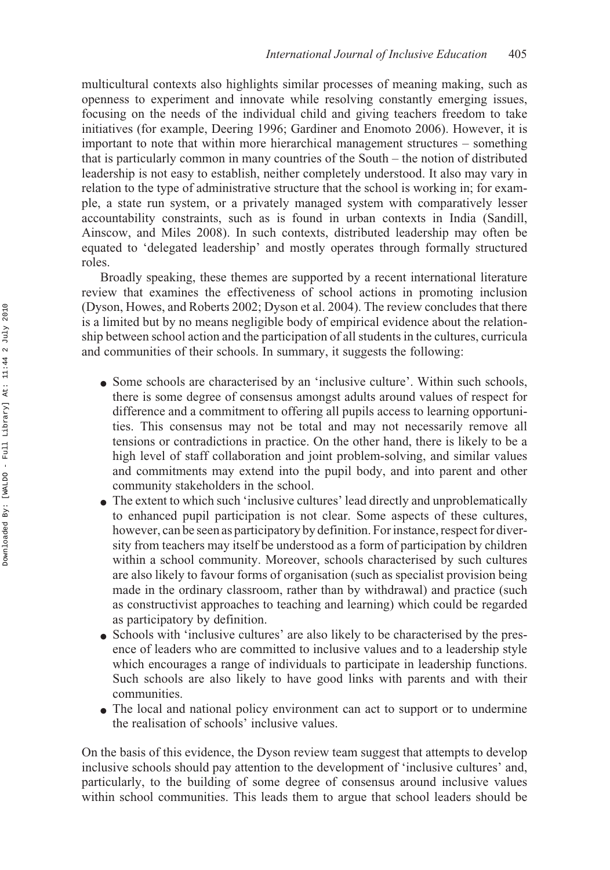multicultural contexts also highlights similar processes of meaning making, such as openness to experiment and innovate while resolving constantly emerging issues, focusing on the needs of the individual child and giving teachers freedom to take initiatives (for example, Deering 1996; Gardiner and Enomoto 2006). However, it is important to note that within more hierarchical management structures – something that is particularly common in many countries of the South – the notion of distributed leadership is not easy to establish, neither completely understood. It also may vary in relation to the type of administrative structure that the school is working in; for example, a state run system, or a privately managed system with comparatively lesser accountability constraints, such as is found in urban contexts in India (Sandill, Ainscow, and Miles 2008). In such contexts, distributed leadership may often be equated to 'delegated leadership' and mostly operates through formally structured roles.

Broadly speaking, these themes are supported by a recent international literature review that examines the effectiveness of school actions in promoting inclusion (Dyson, Howes, and Roberts 2002; Dyson et al. 2004). The review concludes that there is a limited but by no means negligible body of empirical evidence about the relationship between school action and the participation of all students in the cultures, curricula and communities of their schools. In summary, it suggests the following:

- Some schools are characterised by an 'inclusive culture'. Within such schools, there is some degree of consensus amongst adults around values of respect for difference and a commitment to offering all pupils access to learning opportunities. This consensus may not be total and may not necessarily remove all tensions or contradictions in practice. On the other hand, there is likely to be a high level of staff collaboration and joint problem-solving, and similar values and commitments may extend into the pupil body, and into parent and other community stakeholders in the school.
- The extent to which such 'inclusive cultures' lead directly and unproblematically to enhanced pupil participation is not clear. Some aspects of these cultures, however, can be seen as participatory by definition. For instance, respect for diversity from teachers may itself be understood as a form of participation by children within a school community. Moreover, schools characterised by such cultures are also likely to favour forms of organisation (such as specialist provision being made in the ordinary classroom, rather than by withdrawal) and practice (such as constructivist approaches to teaching and learning) which could be regarded as participatory by definition.
- Schools with 'inclusive cultures' are also likely to be characterised by the presence of leaders who are committed to inclusive values and to a leadership style which encourages a range of individuals to participate in leadership functions. Such schools are also likely to have good links with parents and with their communities.
- The local and national policy environment can act to support or to undermine the realisation of schools' inclusive values.

On the basis of this evidence, the Dyson review team suggest that attempts to develop inclusive schools should pay attention to the development of 'inclusive cultures' and, particularly, to the building of some degree of consensus around inclusive values within school communities. This leads them to argue that school leaders should be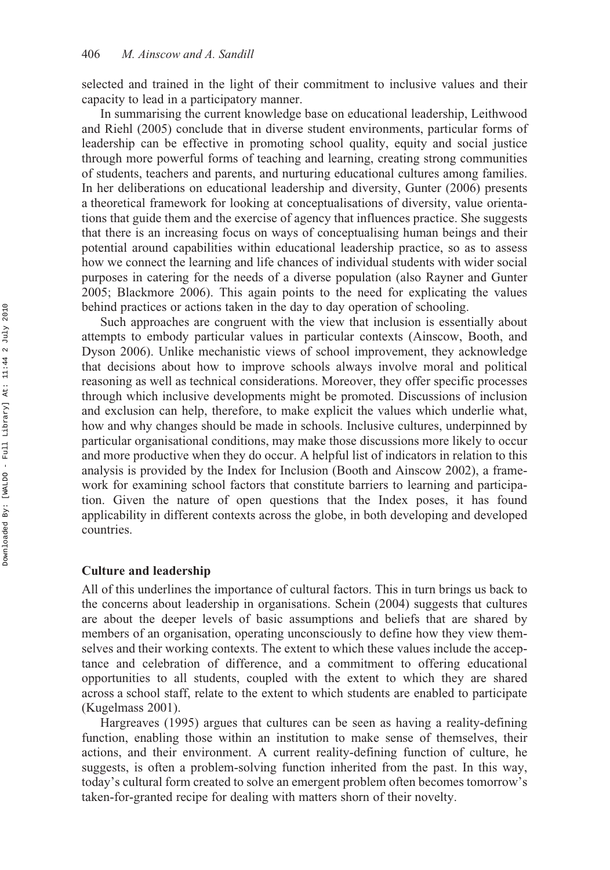selected and trained in the light of their commitment to inclusive values and their capacity to lead in a participatory manner.

In summarising the current knowledge base on educational leadership, Leithwood and Riehl (2005) conclude that in diverse student environments, particular forms of leadership can be effective in promoting school quality, equity and social justice through more powerful forms of teaching and learning, creating strong communities of students, teachers and parents, and nurturing educational cultures among families. In her deliberations on educational leadership and diversity, Gunter (2006) presents a theoretical framework for looking at conceptualisations of diversity, value orientations that guide them and the exercise of agency that influences practice. She suggests that there is an increasing focus on ways of conceptualising human beings and their potential around capabilities within educational leadership practice, so as to assess how we connect the learning and life chances of individual students with wider social purposes in catering for the needs of a diverse population (also Rayner and Gunter 2005; Blackmore 2006). This again points to the need for explicating the values behind practices or actions taken in the day to day operation of schooling.

Such approaches are congruent with the view that inclusion is essentially about attempts to embody particular values in particular contexts (Ainscow, Booth, and Dyson 2006). Unlike mechanistic views of school improvement, they acknowledge that decisions about how to improve schools always involve moral and political reasoning as well as technical considerations. Moreover, they offer specific processes through which inclusive developments might be promoted. Discussions of inclusion and exclusion can help, therefore, to make explicit the values which underlie what, how and why changes should be made in schools. Inclusive cultures, underpinned by particular organisational conditions, may make those discussions more likely to occur and more productive when they do occur. A helpful list of indicators in relation to this analysis is provided by the Index for Inclusion (Booth and Ainscow 2002), a framework for examining school factors that constitute barriers to learning and participation. Given the nature of open questions that the Index poses, it has found applicability in different contexts across the globe, in both developing and developed countries.

#### **Culture and leadership**

All of this underlines the importance of cultural factors. This in turn brings us back to the concerns about leadership in organisations. Schein (2004) suggests that cultures are about the deeper levels of basic assumptions and beliefs that are shared by members of an organisation, operating unconsciously to define how they view themselves and their working contexts. The extent to which these values include the acceptance and celebration of difference, and a commitment to offering educational opportunities to all students, coupled with the extent to which they are shared across a school staff, relate to the extent to which students are enabled to participate (Kugelmass 2001).

Hargreaves (1995) argues that cultures can be seen as having a reality-defining function, enabling those within an institution to make sense of themselves, their actions, and their environment. A current reality-defining function of culture, he suggests, is often a problem-solving function inherited from the past. In this way, today's cultural form created to solve an emergent problem often becomes tomorrow's taken-for-granted recipe for dealing with matters shorn of their novelty.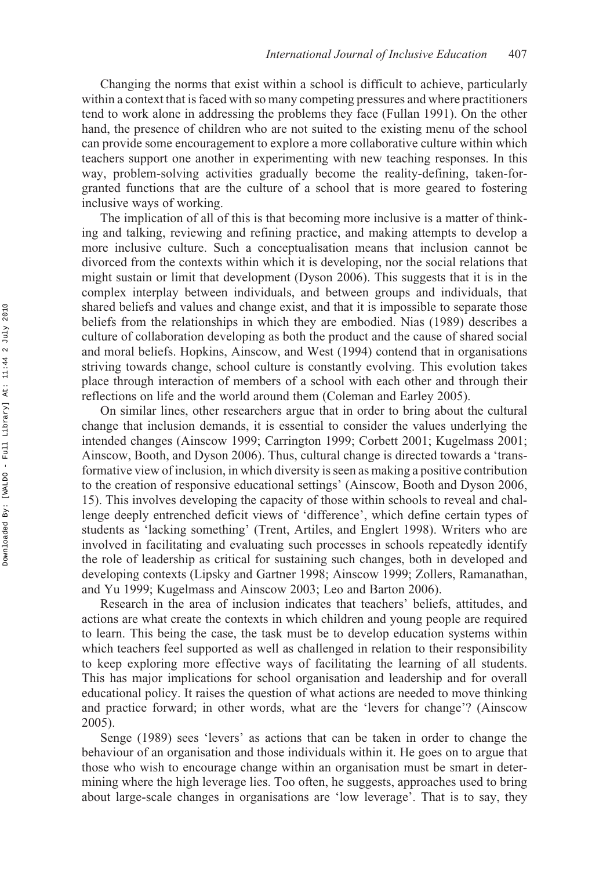Changing the norms that exist within a school is difficult to achieve, particularly within a context that is faced with so many competing pressures and where practitioners tend to work alone in addressing the problems they face (Fullan 1991). On the other hand, the presence of children who are not suited to the existing menu of the school can provide some encouragement to explore a more collaborative culture within which teachers support one another in experimenting with new teaching responses. In this way, problem-solving activities gradually become the reality-defining, taken-forgranted functions that are the culture of a school that is more geared to fostering inclusive ways of working.

The implication of all of this is that becoming more inclusive is a matter of thinking and talking, reviewing and refining practice, and making attempts to develop a more inclusive culture. Such a conceptualisation means that inclusion cannot be divorced from the contexts within which it is developing, nor the social relations that might sustain or limit that development (Dyson 2006). This suggests that it is in the complex interplay between individuals, and between groups and individuals, that shared beliefs and values and change exist, and that it is impossible to separate those beliefs from the relationships in which they are embodied. Nias (1989) describes a culture of collaboration developing as both the product and the cause of shared social and moral beliefs. Hopkins, Ainscow, and West (1994) contend that in organisations striving towards change, school culture is constantly evolving. This evolution takes place through interaction of members of a school with each other and through their reflections on life and the world around them (Coleman and Earley 2005).

On similar lines, other researchers argue that in order to bring about the cultural change that inclusion demands, it is essential to consider the values underlying the intended changes (Ainscow 1999; Carrington 1999; Corbett 2001; Kugelmass 2001; Ainscow, Booth, and Dyson 2006). Thus, cultural change is directed towards a 'transformative view of inclusion, in which diversity is seen as making a positive contribution to the creation of responsive educational settings' (Ainscow, Booth and Dyson 2006, 15). This involves developing the capacity of those within schools to reveal and challenge deeply entrenched deficit views of 'difference', which define certain types of students as 'lacking something' (Trent, Artiles, and Englert 1998). Writers who are involved in facilitating and evaluating such processes in schools repeatedly identify the role of leadership as critical for sustaining such changes, both in developed and developing contexts (Lipsky and Gartner 1998; Ainscow 1999; Zollers, Ramanathan, and Yu 1999; Kugelmass and Ainscow 2003; Leo and Barton 2006).

Research in the area of inclusion indicates that teachers' beliefs, attitudes, and actions are what create the contexts in which children and young people are required to learn. This being the case, the task must be to develop education systems within which teachers feel supported as well as challenged in relation to their responsibility to keep exploring more effective ways of facilitating the learning of all students. This has major implications for school organisation and leadership and for overall educational policy. It raises the question of what actions are needed to move thinking and practice forward; in other words, what are the 'levers for change'? (Ainscow 2005).

Senge (1989) sees 'levers' as actions that can be taken in order to change the behaviour of an organisation and those individuals within it. He goes on to argue that those who wish to encourage change within an organisation must be smart in determining where the high leverage lies. Too often, he suggests, approaches used to bring about large-scale changes in organisations are 'low leverage'. That is to say, they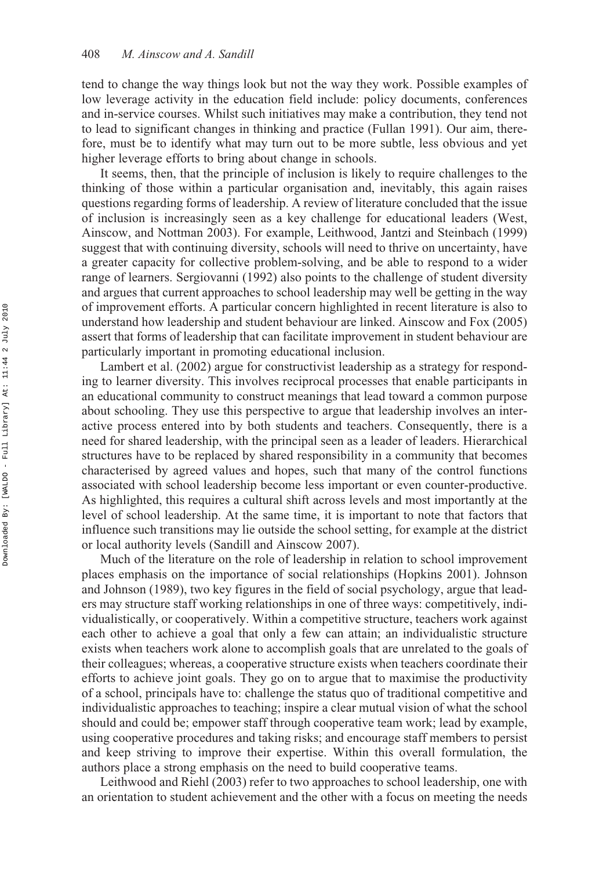tend to change the way things look but not the way they work. Possible examples of low leverage activity in the education field include: policy documents, conferences and in-service courses. Whilst such initiatives may make a contribution, they tend not to lead to significant changes in thinking and practice (Fullan 1991). Our aim, therefore, must be to identify what may turn out to be more subtle, less obvious and yet higher leverage efforts to bring about change in schools.

It seems, then, that the principle of inclusion is likely to require challenges to the thinking of those within a particular organisation and, inevitably, this again raises questions regarding forms of leadership. A review of literature concluded that the issue of inclusion is increasingly seen as a key challenge for educational leaders (West, Ainscow, and Nottman 2003). For example, Leithwood, Jantzi and Steinbach (1999) suggest that with continuing diversity, schools will need to thrive on uncertainty, have a greater capacity for collective problem-solving, and be able to respond to a wider range of learners. Sergiovanni (1992) also points to the challenge of student diversity and argues that current approaches to school leadership may well be getting in the way of improvement efforts. A particular concern highlighted in recent literature is also to understand how leadership and student behaviour are linked. Ainscow and Fox (2005) assert that forms of leadership that can facilitate improvement in student behaviour are particularly important in promoting educational inclusion.

Lambert et al. (2002) argue for constructivist leadership as a strategy for responding to learner diversity. This involves reciprocal processes that enable participants in an educational community to construct meanings that lead toward a common purpose about schooling. They use this perspective to argue that leadership involves an interactive process entered into by both students and teachers. Consequently, there is a need for shared leadership, with the principal seen as a leader of leaders. Hierarchical structures have to be replaced by shared responsibility in a community that becomes characterised by agreed values and hopes, such that many of the control functions associated with school leadership become less important or even counter-productive. As highlighted, this requires a cultural shift across levels and most importantly at the level of school leadership. At the same time, it is important to note that factors that influence such transitions may lie outside the school setting, for example at the district or local authority levels (Sandill and Ainscow 2007).

Much of the literature on the role of leadership in relation to school improvement places emphasis on the importance of social relationships (Hopkins 2001). Johnson and Johnson (1989), two key figures in the field of social psychology, argue that leaders may structure staff working relationships in one of three ways: competitively, individualistically, or cooperatively. Within a competitive structure, teachers work against each other to achieve a goal that only a few can attain; an individualistic structure exists when teachers work alone to accomplish goals that are unrelated to the goals of their colleagues; whereas, a cooperative structure exists when teachers coordinate their efforts to achieve joint goals. They go on to argue that to maximise the productivity of a school, principals have to: challenge the status quo of traditional competitive and individualistic approaches to teaching; inspire a clear mutual vision of what the school should and could be; empower staff through cooperative team work; lead by example, using cooperative procedures and taking risks; and encourage staff members to persist and keep striving to improve their expertise. Within this overall formulation, the authors place a strong emphasis on the need to build cooperative teams.

Leithwood and Riehl (2003) refer to two approaches to school leadership, one with an orientation to student achievement and the other with a focus on meeting the needs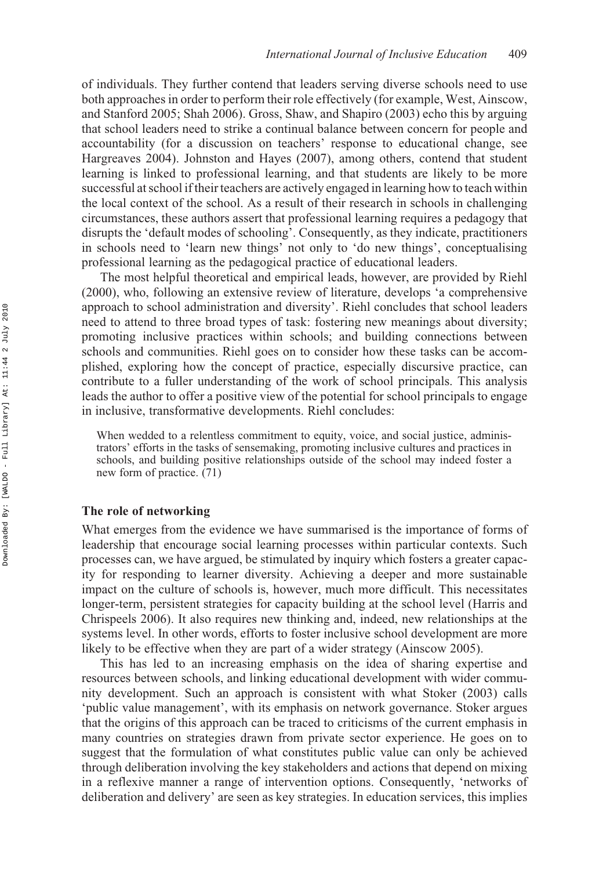of individuals. They further contend that leaders serving diverse schools need to use both approaches in order to perform their role effectively (for example, West, Ainscow, and Stanford 2005; Shah 2006). Gross, Shaw, and Shapiro (2003) echo this by arguing that school leaders need to strike a continual balance between concern for people and accountability (for a discussion on teachers' response to educational change, see Hargreaves 2004). Johnston and Hayes (2007), among others, contend that student learning is linked to professional learning, and that students are likely to be more successful at school if their teachers are actively engaged in learning how to teach within the local context of the school. As a result of their research in schools in challenging circumstances, these authors assert that professional learning requires a pedagogy that disrupts the 'default modes of schooling'. Consequently, as they indicate, practitioners in schools need to 'learn new things' not only to 'do new things', conceptualising professional learning as the pedagogical practice of educational leaders.

The most helpful theoretical and empirical leads, however, are provided by Riehl (2000), who, following an extensive review of literature, develops 'a comprehensive approach to school administration and diversity'. Riehl concludes that school leaders need to attend to three broad types of task: fostering new meanings about diversity; promoting inclusive practices within schools; and building connections between schools and communities. Riehl goes on to consider how these tasks can be accomplished, exploring how the concept of practice, especially discursive practice, can contribute to a fuller understanding of the work of school principals. This analysis leads the author to offer a positive view of the potential for school principals to engage in inclusive, transformative developments. Riehl concludes:

When wedded to a relentless commitment to equity, voice, and social justice, administrators' efforts in the tasks of sensemaking, promoting inclusive cultures and practices in schools, and building positive relationships outside of the school may indeed foster a new form of practice. (71)

#### **The role of networking**

What emerges from the evidence we have summarised is the importance of forms of leadership that encourage social learning processes within particular contexts. Such processes can, we have argued, be stimulated by inquiry which fosters a greater capacity for responding to learner diversity. Achieving a deeper and more sustainable impact on the culture of schools is, however, much more difficult. This necessitates longer-term, persistent strategies for capacity building at the school level (Harris and Chrispeels 2006). It also requires new thinking and, indeed, new relationships at the systems level. In other words, efforts to foster inclusive school development are more likely to be effective when they are part of a wider strategy (Ainscow 2005).

This has led to an increasing emphasis on the idea of sharing expertise and resources between schools, and linking educational development with wider community development. Such an approach is consistent with what Stoker (2003) calls 'public value management', with its emphasis on network governance. Stoker argues that the origins of this approach can be traced to criticisms of the current emphasis in many countries on strategies drawn from private sector experience. He goes on to suggest that the formulation of what constitutes public value can only be achieved through deliberation involving the key stakeholders and actions that depend on mixing in a reflexive manner a range of intervention options. Consequently, 'networks of deliberation and delivery' are seen as key strategies. In education services, this implies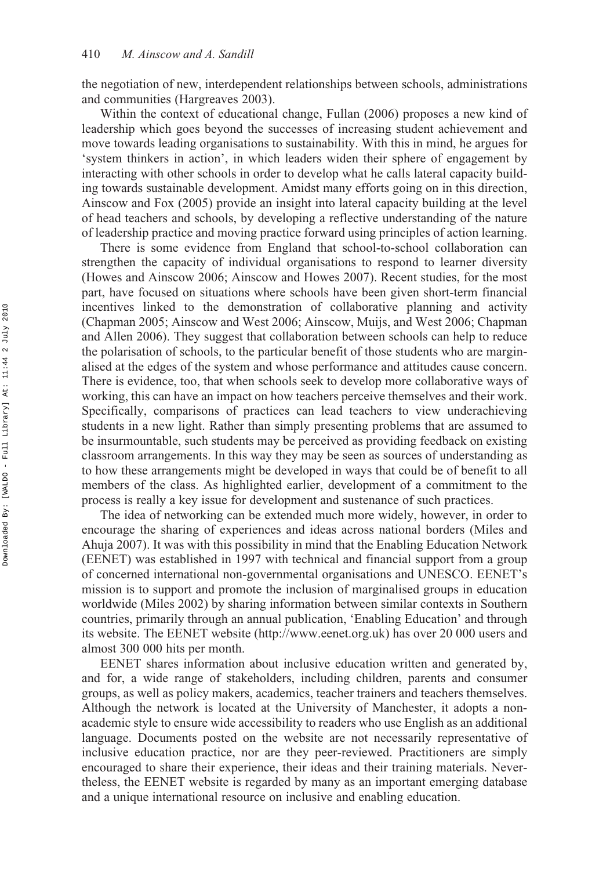the negotiation of new, interdependent relationships between schools, administrations and communities (Hargreaves 2003).

Within the context of educational change, Fullan (2006) proposes a new kind of leadership which goes beyond the successes of increasing student achievement and move towards leading organisations to sustainability. With this in mind, he argues for 'system thinkers in action', in which leaders widen their sphere of engagement by interacting with other schools in order to develop what he calls lateral capacity building towards sustainable development. Amidst many efforts going on in this direction, Ainscow and Fox (2005) provide an insight into lateral capacity building at the level of head teachers and schools, by developing a reflective understanding of the nature of leadership practice and moving practice forward using principles of action learning.

There is some evidence from England that school-to-school collaboration can strengthen the capacity of individual organisations to respond to learner diversity (Howes and Ainscow 2006; Ainscow and Howes 2007). Recent studies, for the most part, have focused on situations where schools have been given short-term financial incentives linked to the demonstration of collaborative planning and activity (Chapman 2005; Ainscow and West 2006; Ainscow, Muijs, and West 2006; Chapman and Allen 2006). They suggest that collaboration between schools can help to reduce the polarisation of schools, to the particular benefit of those students who are marginalised at the edges of the system and whose performance and attitudes cause concern. There is evidence, too, that when schools seek to develop more collaborative ways of working, this can have an impact on how teachers perceive themselves and their work. Specifically, comparisons of practices can lead teachers to view underachieving students in a new light. Rather than simply presenting problems that are assumed to be insurmountable, such students may be perceived as providing feedback on existing classroom arrangements. In this way they may be seen as sources of understanding as to how these arrangements might be developed in ways that could be of benefit to all members of the class. As highlighted earlier, development of a commitment to the process is really a key issue for development and sustenance of such practices.

The idea of networking can be extended much more widely, however, in order to encourage the sharing of experiences and ideas across national borders (Miles and Ahuja 2007). It was with this possibility in mind that the Enabling Education Network (EENET) was established in 1997 with technical and financial support from a group of concerned international non-governmental organisations and UNESCO. EENET's mission is to support and promote the inclusion of marginalised groups in education worldwide (Miles 2002) by sharing information between similar contexts in Southern countries, primarily through an annual publication, 'Enabling Education' and through its website. The EENET website (http://www.eenet.org.uk) has over 20 000 users and almost 300 000 hits per month.

EENET shares information about inclusive education written and generated by, and for, a wide range of stakeholders, including children, parents and consumer groups, as well as policy makers, academics, teacher trainers and teachers themselves. Although the network is located at the University of Manchester, it adopts a nonacademic style to ensure wide accessibility to readers who use English as an additional language. Documents posted on the website are not necessarily representative of inclusive education practice, nor are they peer-reviewed. Practitioners are simply encouraged to share their experience, their ideas and their training materials. Nevertheless, the EENET website is regarded by many as an important emerging database and a unique international resource on inclusive and enabling education.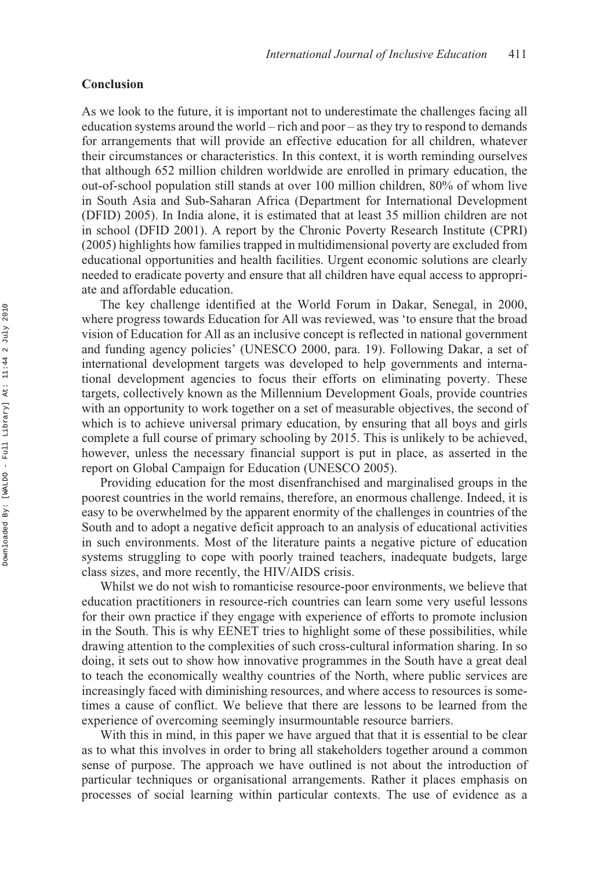## **Conclusion**

As we look to the future, it is important not to underestimate the challenges facing all education systems around the world – rich and poor – as they try to respond to demands for arrangements that will provide an effective education for all children, whatever their circumstances or characteristics. In this context, it is worth reminding ourselves that although 652 million children worldwide are enrolled in primary education, the out-of-school population still stands at over 100 million children, 80% of whom live in South Asia and Sub-Saharan Africa (Department for International Development (DFID) 2005). In India alone, it is estimated that at least 35 million children are not in school (DFID 2001). A report by the Chronic Poverty Research Institute (CPRI) (2005) highlights how families trapped in multidimensional poverty are excluded from educational opportunities and health facilities. Urgent economic solutions are clearly needed to eradicate poverty and ensure that all children have equal access to appropriate and affordable education.

The key challenge identified at the World Forum in Dakar, Senegal, in 2000, where progress towards Education for All was reviewed, was 'to ensure that the broad vision of Education for All as an inclusive concept is reflected in national government and funding agency policies' (UNESCO 2000, para. 19). Following Dakar, a set of international development targets was developed to help governments and international development agencies to focus their efforts on eliminating poverty. These targets, collectively known as the Millennium Development Goals, provide countries with an opportunity to work together on a set of measurable objectives, the second of which is to achieve universal primary education, by ensuring that all boys and girls complete a full course of primary schooling by 2015. This is unlikely to be achieved, however, unless the necessary financial support is put in place, as asserted in the report on Global Campaign for Education (UNESCO 2005).

Providing education for the most disenfranchised and marginalised groups in the poorest countries in the world remains, therefore, an enormous challenge. Indeed, it is easy to be overwhelmed by the apparent enormity of the challenges in countries of the South and to adopt a negative deficit approach to an analysis of educational activities in such environments. Most of the literature paints a negative picture of education systems struggling to cope with poorly trained teachers, inadequate budgets, large class sizes, and more recently, the HIV/AIDS crisis.

Whilst we do not wish to romanticise resource-poor environments, we believe that education practitioners in resource-rich countries can learn some very useful lessons for their own practice if they engage with experience of efforts to promote inclusion in the South. This is why EENET tries to highlight some of these possibilities, while drawing attention to the complexities of such cross-cultural information sharing. In so doing, it sets out to show how innovative programmes in the South have a great deal to teach the economically wealthy countries of the North, where public services are increasingly faced with diminishing resources, and where access to resources is sometimes a cause of conflict. We believe that there are lessons to be learned from the experience of overcoming seemingly insurmountable resource barriers.

With this in mind, in this paper we have argued that that it is essential to be clear as to what this involves in order to bring all stakeholders together around a common sense of purpose. The approach we have outlined is not about the introduction of particular techniques or organisational arrangements. Rather it places emphasis on processes of social learning within particular contexts. The use of evidence as a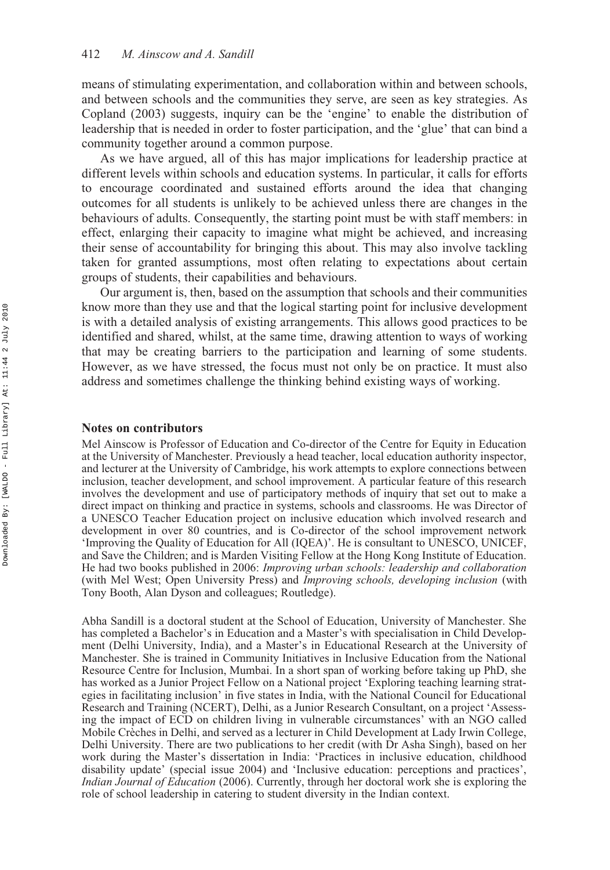means of stimulating experimentation, and collaboration within and between schools, and between schools and the communities they serve, are seen as key strategies. As Copland (2003) suggests, inquiry can be the 'engine' to enable the distribution of leadership that is needed in order to foster participation, and the 'glue' that can bind a community together around a common purpose.

As we have argued, all of this has major implications for leadership practice at different levels within schools and education systems. In particular, it calls for efforts to encourage coordinated and sustained efforts around the idea that changing outcomes for all students is unlikely to be achieved unless there are changes in the behaviours of adults. Consequently, the starting point must be with staff members: in effect, enlarging their capacity to imagine what might be achieved, and increasing their sense of accountability for bringing this about. This may also involve tackling taken for granted assumptions, most often relating to expectations about certain groups of students, their capabilities and behaviours.

Our argument is, then, based on the assumption that schools and their communities know more than they use and that the logical starting point for inclusive development is with a detailed analysis of existing arrangements. This allows good practices to be identified and shared, whilst, at the same time, drawing attention to ways of working that may be creating barriers to the participation and learning of some students. However, as we have stressed, the focus must not only be on practice. It must also address and sometimes challenge the thinking behind existing ways of working.

#### **Notes on contributors**

Mel Ainscow is Professor of Education and Co-director of the Centre for Equity in Education at the University of Manchester. Previously a head teacher, local education authority inspector, and lecturer at the University of Cambridge, his work attempts to explore connections between inclusion, teacher development, and school improvement. A particular feature of this research involves the development and use of participatory methods of inquiry that set out to make a direct impact on thinking and practice in systems, schools and classrooms. He was Director of a UNESCO Teacher Education project on inclusive education which involved research and development in over 80 countries, and is Co-director of the school improvement network 'Improving the Quality of Education for All (IQEA)'. He is consultant to UNESCO, UNICEF, and Save the Children; and is Marden Visiting Fellow at the Hong Kong Institute of Education. He had two books published in 2006: *Improving urban schools: leadership and collaboration* (with Mel West; Open University Press) and *Improving schools, developing inclusion* (with Tony Booth, Alan Dyson and colleagues; Routledge).

Abha Sandill is a doctoral student at the School of Education, University of Manchester. She has completed a Bachelor's in Education and a Master's with specialisation in Child Development (Delhi University, India), and a Master's in Educational Research at the University of Manchester. She is trained in Community Initiatives in Inclusive Education from the National Resource Centre for Inclusion, Mumbai. In a short span of working before taking up PhD, she has worked as a Junior Project Fellow on a National project 'Exploring teaching learning strategies in facilitating inclusion' in five states in India, with the National Council for Educational Research and Training (NCERT), Delhi, as a Junior Research Consultant, on a project 'Assessing the impact of ECD on children living in vulnerable circumstances' with an NGO called Mobile Crèches in Delhi, and served as a lecturer in Child Development at Lady Irwin College, Delhi University. There are two publications to her credit (with Dr Asha Singh), based on her work during the Master's dissertation in India: 'Practices in inclusive education, childhood disability update' (special issue 2004) and 'Inclusive education: perceptions and practices', *Indian Journal of Education* (2006). Currently, through her doctoral work she is exploring the role of school leadership in catering to student diversity in the Indian context.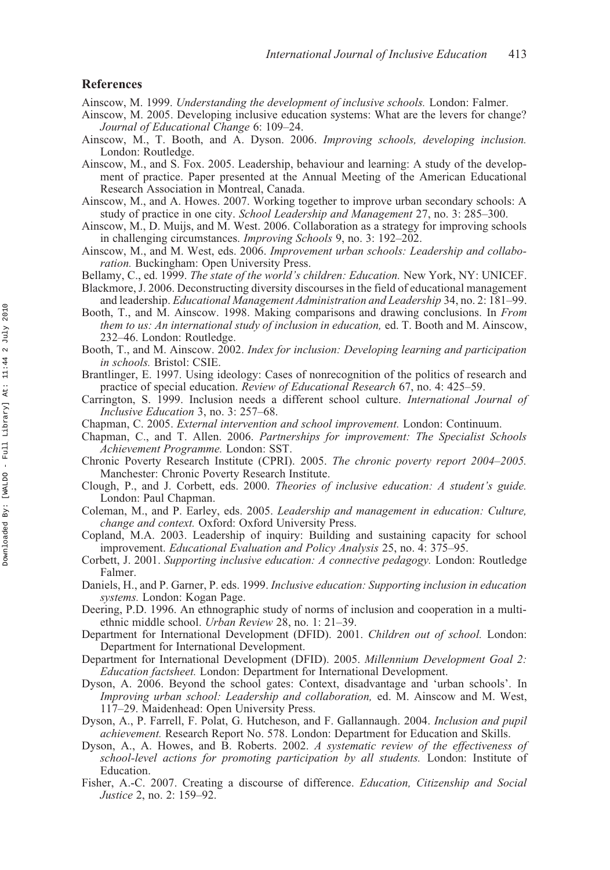## **References**

Ainscow, M. 1999. *Understanding the development of inclusive schools.* London: Falmer.

- Ainscow, M. 2005. Developing inclusive education systems: What are the levers for change? *Journal of Educational Change* 6: 109–24.
- Ainscow, M., T. Booth, and A. Dyson. 2006. *Improving schools, developing inclusion.* London: Routledge.
- Ainscow, M., and S. Fox. 2005. Leadership, behaviour and learning: A study of the development of practice. Paper presented at the Annual Meeting of the American Educational Research Association in Montreal, Canada.
- Ainscow, M., and A. Howes. 2007. Working together to improve urban secondary schools: A study of practice in one city. *School Leadership and Management* 27, no. 3: 285–300.
- Ainscow, M., D. Muijs, and M. West. 2006. Collaboration as a strategy for improving schools in challenging circumstances. *Improving Schools* 9, no. 3: 192–202.
- Ainscow, M., and M. West, eds. 2006. *Improvement urban schools: Leadership and collaboration.* Buckingham: Open University Press.
- Bellamy, C., ed. 1999. *The state of the world's children: Education.* New York, NY: UNICEF.
- Blackmore, J. 2006. Deconstructing diversity discourses in the field of educational management and leadership. *Educational Management Administration and Leadership* 34, no. 2: 181–99.
- Booth, T., and M. Ainscow. 1998. Making comparisons and drawing conclusions. In *From them to us: An international study of inclusion in education,* ed. T. Booth and M. Ainscow, 232–46. London: Routledge.
- Booth, T., and M. Ainscow. 2002. *Index for inclusion: Developing learning and participation in schools.* Bristol: CSIE.
- Brantlinger, E. 1997. Using ideology: Cases of nonrecognition of the politics of research and practice of special education. *Review of Educational Research* 67, no. 4: 425–59.
- Carrington, S. 1999. Inclusion needs a different school culture. *International Journal of Inclusive Education* 3, no. 3: 257–68.
- Chapman, C. 2005. *External intervention and school improvement.* London: Continuum.
- Chapman, C., and T. Allen. 2006. *Partnerships for improvement: The Specialist Schools Achievement Programme.* London: SST.
- Chronic Poverty Research Institute (CPRI). 2005. *The chronic poverty report 2004–2005.* Manchester: Chronic Poverty Research Institute.
- Clough, P., and J. Corbett, eds. 2000. *Theories of inclusive education: A student's guide.* London: Paul Chapman.
- Coleman, M., and P. Earley, eds. 2005. *Leadership and management in education: Culture, change and context.* Oxford: Oxford University Press.
- Copland, M.A. 2003. Leadership of inquiry: Building and sustaining capacity for school improvement. *Educational Evaluation and Policy Analysis* 25, no. 4: 375–95.
- Corbett, J. 2001. *Supporting inclusive education: A connective pedagogy.* London: Routledge Falmer.
- Daniels, H., and P. Garner, P. eds. 1999. *Inclusive education: Supporting inclusion in education systems.* London: Kogan Page.
- Deering, P.D. 1996. An ethnographic study of norms of inclusion and cooperation in a multiethnic middle school. *Urban Review* 28, no. 1: 21–39.
- Department for International Development (DFID). 2001. *Children out of school.* London: Department for International Development.
- Department for International Development (DFID). 2005. *Millennium Development Goal 2: Education factsheet.* London: Department for International Development.
- Dyson, A. 2006. Beyond the school gates: Context, disadvantage and 'urban schools'. In *Improving urban school: Leadership and collaboration,* ed. M. Ainscow and M. West, 117–29. Maidenhead: Open University Press.
- Dyson, A., P. Farrell, F. Polat, G. Hutcheson, and F. Gallannaugh. 2004. *Inclusion and pupil achievement.* Research Report No. 578. London: Department for Education and Skills.
- Dyson, A., A. Howes, and B. Roberts. 2002. *A systematic review of the effectiveness of school-level actions for promoting participation by all students.* London: Institute of Education.
- Fisher, A.-C. 2007. Creating a discourse of difference. *Education, Citizenship and Social Justice* 2, no. 2: 159–92.

2010

Downloaded By: [WALDO - Full Library] At: 11:44 2 July 2010

Downloaded By: [WALDO

- Full Library] At: 11:44 2 July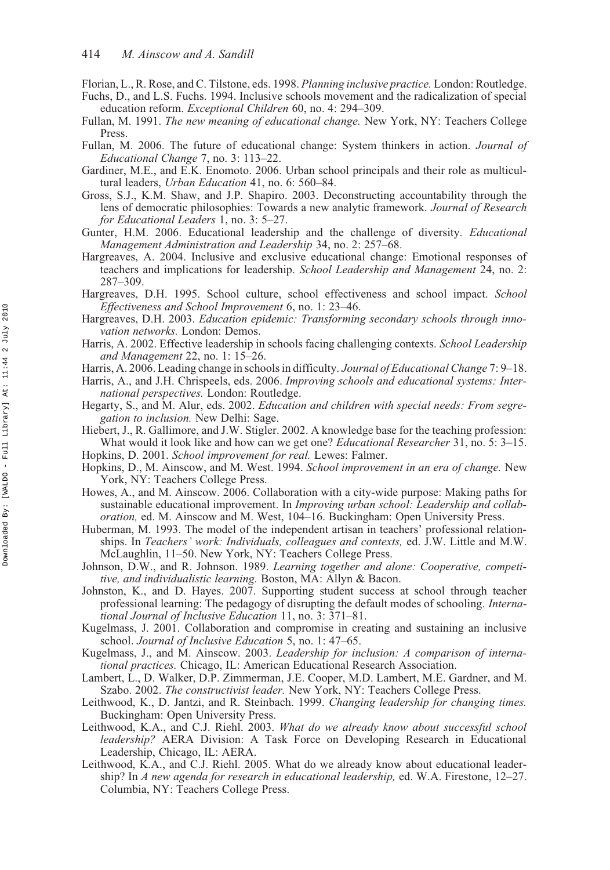Florian, L., R. Rose, and C. Tilstone, eds. 1998. *Planning inclusive practice.* London: Routledge.

- Fuchs, D., and L.S. Fuchs. 1994. Inclusive schools movement and the radicalization of special education reform. *Exceptional Children* 60, no. 4: 294–309.
- Fullan, M. 1991. *The new meaning of educational change.* New York, NY: Teachers College Press.
- Fullan, M. 2006. The future of educational change: System thinkers in action. *Journal of Educational Change* 7, no. 3: 113–22.
- Gardiner, M.E., and E.K. Enomoto. 2006. Urban school principals and their role as multicultural leaders, *Urban Education* 41, no. 6: 560–84.
- Gross, S.J., K.M. Shaw, and J.P. Shapiro. 2003. Deconstructing accountability through the lens of democratic philosophies: Towards a new analytic framework. *Journal of Research for Educational Leaders* 1, no. 3: 5–27.
- Gunter, H.M. 2006. Educational leadership and the challenge of diversity. *Educational Management Administration and Leadership* 34, no. 2: 257–68.
- Hargreaves, A. 2004. Inclusive and exclusive educational change: Emotional responses of teachers and implications for leadership. *School Leadership and Management* 24, no. 2: 287–309.
- Hargreaves, D.H. 1995. School culture, school effectiveness and school impact. *School Effectiveness and School Improvement* 6, no. 1: 23–46.
- Hargreaves, D.H. 2003. *Education epidemic: Transforming secondary schools through innovation networks.* London: Demos.
- Harris, A. 2002. Effective leadership in schools facing challenging contexts. *School Leadership and Management* 22, no. 1: 15–26.
- Harris, A. 2006. Leading change in schools in difficulty. *Journal of Educational Change* 7: 9–18.
- Harris, A., and J.H. Chrispeels, eds. 2006. *Improving schools and educational systems: International perspectives.* London: Routledge.
- Hegarty, S., and M. Alur, eds. 2002. *Education and children with special needs: From segregation to inclusion.* New Delhi: Sage.
- Hiebert, J., R. Gallimore, and J.W. Stigler. 2002. A knowledge base for the teaching profession: What would it look like and how can we get one? *Educational Researcher* 31, no. 5: 3–15.
- Hopkins, D. 2001. *School improvement for real.* Lewes: Falmer.
- Hopkins, D., M. Ainscow, and M. West. 1994. *School improvement in an era of change.* New York, NY: Teachers College Press.
- Howes, A., and M. Ainscow. 2006. Collaboration with a city-wide purpose: Making paths for sustainable educational improvement. In *Improving urban school: Leadership and collaboration,* ed. M. Ainscow and M. West, 104–16. Buckingham: Open University Press.
- Huberman, M. 1993. The model of the independent artisan in teachers' professional relationships. In *Teachers' work: Individuals, colleagues and contexts,* ed. J.W. Little and M.W. McLaughlin, 11–50. New York, NY: Teachers College Press.
- Johnson, D.W., and R. Johnson. 1989. *Learning together and alone: Cooperative, competitive, and individualistic learning.* Boston, MA: Allyn & Bacon.
- Johnston, K., and D. Hayes. 2007. Supporting student success at school through teacher professional learning: The pedagogy of disrupting the default modes of schooling. *International Journal of Inclusive Education* 11, no. 3: 371–81.
- Kugelmass, J. 2001. Collaboration and compromise in creating and sustaining an inclusive school. *Journal of Inclusive Education* 5, no. 1: 47–65.
- Kugelmass, J., and M. Ainscow. 2003. *Leadership for inclusion: A comparison of international practices.* Chicago, IL: American Educational Research Association.
- Lambert, L., D. Walker, D.P. Zimmerman, J.E. Cooper, M.D. Lambert, M.E. Gardner, and M. Szabo. 2002. *The constructivist leader.* New York, NY: Teachers College Press.
- Leithwood, K., D. Jantzi, and R. Steinbach. 1999. *Changing leadership for changing times.* Buckingham: Open University Press.
- Leithwood, K.A., and C.J. Riehl. 2003. *What do we already know about successful school leadership?* AERA Division: A Task Force on Developing Research in Educational Leadership, Chicago, IL: AERA.
- Leithwood, K.A., and C.J. Riehl. 2005. What do we already know about educational leadership? In *A new agenda for research in educational leadership,* ed. W.A. Firestone, 12–27. Columbia, NY: Teachers College Press.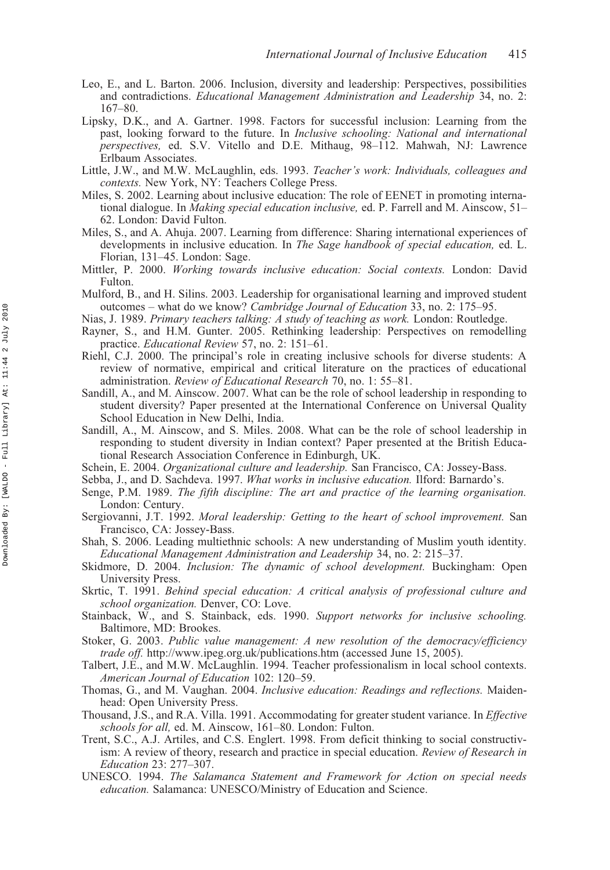- Leo, E., and L. Barton. 2006. Inclusion, diversity and leadership: Perspectives, possibilities and contradictions. *Educational Management Administration and Leadership* 34, no. 2: 167–80.
- Lipsky, D.K., and A. Gartner. 1998. Factors for successful inclusion: Learning from the past, looking forward to the future. In *Inclusive schooling: National and international perspectives,* ed. S.V. Vitello and D.E. Mithaug, 98–112. Mahwah, NJ: Lawrence Erlbaum Associates.
- Little, J.W., and M.W. McLaughlin, eds. 1993. *Teacher's work: Individuals, colleagues and contexts.* New York, NY: Teachers College Press.
- Miles, S. 2002. Learning about inclusive education: The role of EENET in promoting international dialogue. In *Making special education inclusive,* ed. P. Farrell and M. Ainscow, 51– 62. London: David Fulton.
- Miles, S., and A. Ahuja. 2007. Learning from difference: Sharing international experiences of developments in inclusive education. In *The Sage handbook of special education,* ed. L. Florian, 131–45. London: Sage.
- Mittler, P. 2000. *Working towards inclusive education: Social contexts.* London: David Fulton.
- Mulford, B., and H. Silins. 2003. Leadership for organisational learning and improved student outcomes – what do we know? *Cambridge Journal of Education* 33, no. 2: 175–95.
- Nias, J. 1989. *Primary teachers talking: A study of teaching as work.* London: Routledge.
- Rayner, S., and H.M. Gunter. 2005. Rethinking leadership: Perspectives on remodelling practice. *Educational Review* 57, no. 2: 151–61.
- Riehl, C.J. 2000. The principal's role in creating inclusive schools for diverse students: A review of normative, empirical and critical literature on the practices of educational administration. *Review of Educational Research* 70, no. 1: 55–81.
- Sandill, A., and M. Ainscow. 2007. What can be the role of school leadership in responding to student diversity? Paper presented at the International Conference on Universal Quality School Education in New Delhi, India.
- Sandill, A., M. Ainscow, and S. Miles. 2008. What can be the role of school leadership in responding to student diversity in Indian context? Paper presented at the British Educational Research Association Conference in Edinburgh, UK.
- Schein, E. 2004. *Organizational culture and leadership.* San Francisco, CA: Jossey-Bass.
- Sebba, J., and D. Sachdeva. 1997. *What works in inclusive education.* Ilford: Barnardo's.
- Senge, P.M. 1989. *The fifth discipline: The art and practice of the learning organisation.* London: Century.
- Sergiovanni, J.T. 1992. *Moral leadership: Getting to the heart of school improvement.* San Francisco, CA: Jossey-Bass.
- Shah, S. 2006. Leading multiethnic schools: A new understanding of Muslim youth identity. *Educational Management Administration and Leadership* 34, no. 2: 215–37.
- Skidmore, D. 2004. *Inclusion: The dynamic of school development.* Buckingham: Open University Press.
- Skrtic, T. 1991. *Behind special education: A critical analysis of professional culture and school organization.* Denver, CO: Love.
- Stainback, W., and S. Stainback, eds. 1990. *Support networks for inclusive schooling.* Baltimore, MD: Brookes.
- Stoker, G. 2003. *Public value management: A new resolution of the democracy/efficiency trade off.* http://www.ipeg.org.uk/publications.htm (accessed June 15, 2005).
- Talbert, J.E., and M.W. McLaughlin. 1994. Teacher professionalism in local school contexts. *American Journal of Education* 102: 120–59.
- Thomas, G., and M. Vaughan. 2004. *Inclusive education: Readings and reflections.* Maidenhead: Open University Press.
- Thousand, J.S., and R.A. Villa. 1991. Accommodating for greater student variance. In *Effective schools for all,* ed. M. Ainscow, 161–80. London: Fulton.
- Trent, S.C., A.J. Artiles, and C.S. Englert. 1998. From deficit thinking to social constructivism: A review of theory, research and practice in special education. *Review of Research in Education* 23: 277–307.
- UNESCO. 1994. *The Salamanca Statement and Framework for Action on special needs education.* Salamanca: UNESCO/Ministry of Education and Science.